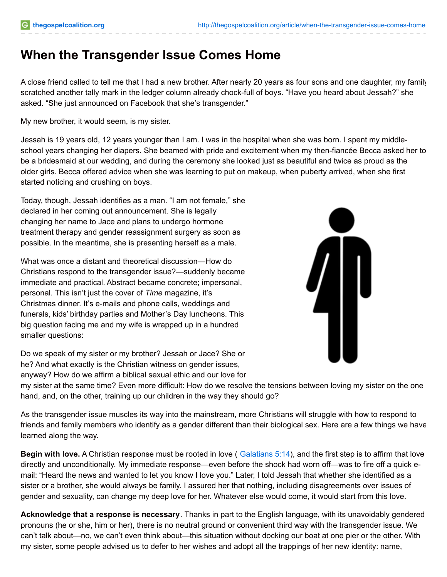## **When the Transgender Issue Comes Home**

A close friend called to tell me that I had a new brother. After nearly 20 years as four sons and one daughter, my family scratched another tally mark in the ledger column already chock-full of boys. "Have you heard about Jessah?" she asked. "She just announced on Facebook that she's transgender."

My new brother, it would seem, is my sister.

Jessah is 19 years old, 12 years younger than I am. I was in the hospital when she was born. I spent my middleschool years changing her diapers. She beamed with pride and excitement when my then-fiancée Becca asked her to be a bridesmaid at our wedding, and during the ceremony she looked just as beautiful and twice as proud as the older girls. Becca offered advice when she was learning to put on makeup, when puberty arrived, when she first started noticing and crushing on boys.

Today, though, Jessah identifies as a man. "I am not female," she declared in her coming out announcement. She is legally changing her name to Jace and plans to undergo hormone treatment therapy and gender reassignment surgery as soon as possible. In the meantime, she is presenting herself as a male.

What was once a distant and theoretical discussion—How do Christians respond to the transgender issue?—suddenly became immediate and practical. Abstract became concrete; impersonal, personal. This isn't just the cover of *Time* magazine, it's Christmas dinner. It's e-mails and phone calls, weddings and funerals, kids' birthday parties and Mother's Day luncheons. This big question facing me and my wife is wrapped up in a hundred smaller questions:



Do we speak of my sister or my brother? Jessah or Jace? She or he? And what exactly is the Christian witness on gender issues, anyway? How do we affirm a biblical sexual ethic and our love for

my sister at the same time? Even more difficult: How do we resolve the tensions between loving my sister on the one hand, and, on the other, training up our children in the way they should go?

As the transgender issue muscles its way into the mainstream, more Christians will struggle with how to respond to friends and family members who identify as a gender different than their biological sex. Here are a few things we have learned along the way.

**Begin with love.** A Christian response must be rooted in love ( [Galatians](http://biblia.com/bible/esv/Galatians 5.14) 5:14), and the first step is to affirm that love directly and unconditionally. My immediate response—even before the shock had worn off—was to fire off a quick email: "Heard the news and wanted to let you know I love you." Later, I told Jessah that whether she identified as a sister or a brother, she would always be family. I assured her that nothing, including disagreements over issues of gender and sexuality, can change my deep love for her. Whatever else would come, it would start from this love.

**Acknowledge that a response is necessary**. Thanks in part to the English language, with its unavoidably gendered pronouns (he or she, him or her), there is no neutral ground or convenient third way with the transgender issue. We can't talk about—no, we can't even think about—this situation without docking our boat at one pier or the other. With my sister, some people advised us to defer to her wishes and adopt all the trappings of her new identity: name,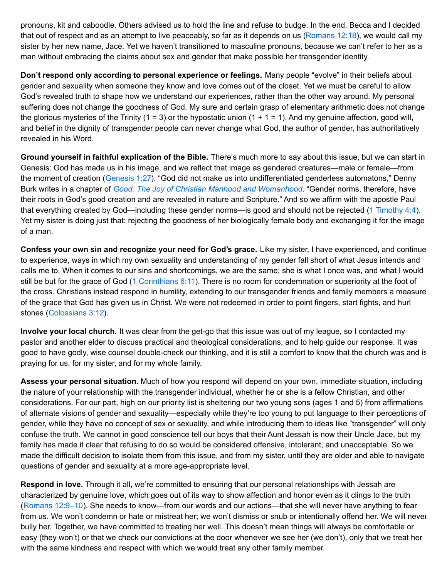pronouns, kit and caboodle. Others advised us to hold the line and refuse to budge. In the end, Becca and I decided that out of respect and as an attempt to live peaceably, so far as it depends on us [\(Romans](http://biblia.com/bible/esv/Romans 12.18) 12:18), we would call my sister by her new name, Jace. Yet we haven't transitioned to masculine pronouns, because we can't refer to her as a man without embracing the claims about sex and gender that make possible her transgender identity.

**Don't respond only according to personal experience or feelings.** Many people "evolve" in their beliefs about gender and sexuality when someone they know and love comes out of the closet. Yet we must be careful to allow God's revealed truth to shape how we understand our experiences, rather than the other way around. My personal suffering does not change the goodness of God. My sure and certain grasp of elementary arithmetic does not change the glorious mysteries of the Trinity (1 = 3) or the hypostatic union (1 + 1 = 1). And my genuine affection, good will, and belief in the dignity of transgender people can never change what God, the author of gender, has authoritatively revealed in his Word.

**Ground yourself in faithful explication of the Bible.** There's much more to say about this issue, but we can start in Genesis: God has made us in his image, and we reflect that image as gendered creatures—male or female—from the moment of creation [\(Genesis](http://biblia.com/bible/esv/Genesis 1.27) 1:27). "God did not make us into undifferentiated genderless automatons," Denny Burk writes in a chapter of *Good: The Joy of Christian Manhood and [Womanhood](http://www.desiringgod.org/books/good)*. "Gender norms, therefore, have their roots in God's good creation and are revealed in nature and Scripture." And so we affirm with the apostle Paul that everything created by God—including these gender norms—is good and should not be rejected (1 [Timothy](http://biblia.com/bible/esv/1 Timothy 4.4) 4:4). Yet my sister is doing just that: rejecting the goodness of her biologically female body and exchanging it for the image of a man.

**Confess your own sin and recognize your need for God's grace.** Like my sister, I have experienced, and continue to experience, ways in which my own sexuality and understanding of my gender fall short of what Jesus intends and calls me to. When it comes to our sins and shortcomings, we are the same; she is what I once was, and what I would still be but for the grace of God (1 [Corinthians](http://biblia.com/bible/esv/1 Corinthians 6.11) 6:11). There is no room for condemnation or superiority at the foot of the cross. Christians instead respond in humility, extending to our transgender friends and family members a measure of the grace that God has given us in Christ. We were not redeemed in order to point fingers, start fights, and hurl stones [\(Colossians](http://biblia.com/bible/esv/Colossians 3.12) 3:12).

**Involve your local church.** It was clear from the get-go that this issue was out of my league, so I contacted my pastor and another elder to discuss practical and theological considerations, and to help guide our response. It was good to have godly, wise counsel double-check our thinking, and it is still a comfort to know that the church was and is praying for us, for my sister, and for my whole family.

**Assess your personal situation.** Much of how you respond will depend on your own, immediate situation, including the nature of your relationship with the transgender individual, whether he or she is a fellow Christian, and other considerations. For our part, high on our priority list is sheltering our two young sons (ages 1 and 5) from affirmations of alternate visions of gender and sexuality—especially while they're too young to put language to their perceptions of gender, while they have no concept of sex or sexuality, and while introducing them to ideas like "transgender" will only confuse the truth. We cannot in good conscience tell our boys that their Aunt Jessah is now their Uncle Jace, but my family has made it clear that refusing to do so would be considered offensive, intolerant, and unacceptable. So we made the difficult decision to isolate them from this issue, and from my sister, until they are older and able to navigate questions of gender and sexuality at a more age-appropriate level.

**Respond in love.** Through it all, we're committed to ensuring that our personal relationships with Jessah are characterized by genuine love, which goes out of its way to show affection and honor even as it clings to the truth [\(Romans](http://biblia.com/bible/esv/Romans 12.9%E2%80%9310) 12:9–10). She needs to know—from our words and our actions—that she will never have anything to fear from us. We won't condemn or hate or mistreat her; we won't dismiss or snub or intentionally offend her. We will never bully her. Together, we have committed to treating her well. This doesn't mean things will always be comfortable or easy (they won't) or that we check our convictions at the door whenever we see her (we don't), only that we treat her with the same kindness and respect with which we would treat any other family member.